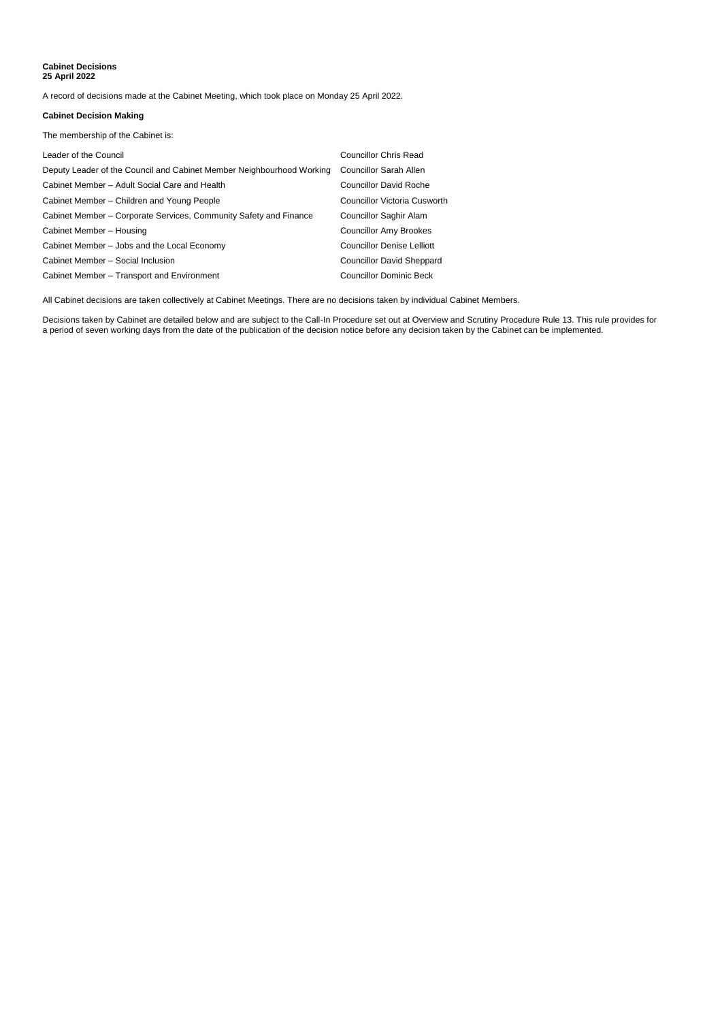## **Cabinet Decisions 25 April 2022**

A record of decisions made at the Cabinet Meeting, which took place on Monday 25 April 2022.

## **Cabinet Decision Making**

The membership of the Cabinet is:

| Leader of the Council                                                 | <b>Councillor Chris Read</b>      |
|-----------------------------------------------------------------------|-----------------------------------|
| Deputy Leader of the Council and Cabinet Member Neighbourhood Working | <b>Councillor Sarah Allen</b>     |
| Cabinet Member – Adult Social Care and Health                         | <b>Councillor David Roche</b>     |
| Cabinet Member – Children and Young People                            | Councillor Victoria Cusworth      |
| Cabinet Member – Corporate Services, Community Safety and Finance     | <b>Councillor Saghir Alam</b>     |
| Cabinet Member - Housing                                              | <b>Councillor Amy Brookes</b>     |
| Cabinet Member - Jobs and the Local Economy                           | <b>Councillor Denise Lelliott</b> |
| Cabinet Member - Social Inclusion                                     | <b>Councillor David Sheppard</b>  |
| Cabinet Member - Transport and Environment                            | <b>Councillor Dominic Beck</b>    |

All Cabinet decisions are taken collectively at Cabinet Meetings. There are no decisions taken by individual Cabinet Members.

Decisions taken by Cabinet are detailed below and are subject to the Call-In Procedure set out at Overview and Scrutiny Procedure Rule 13. This rule provides for a period of seven working days from the date of the publication of the decision notice before any decision taken by the Cabinet can be implemented.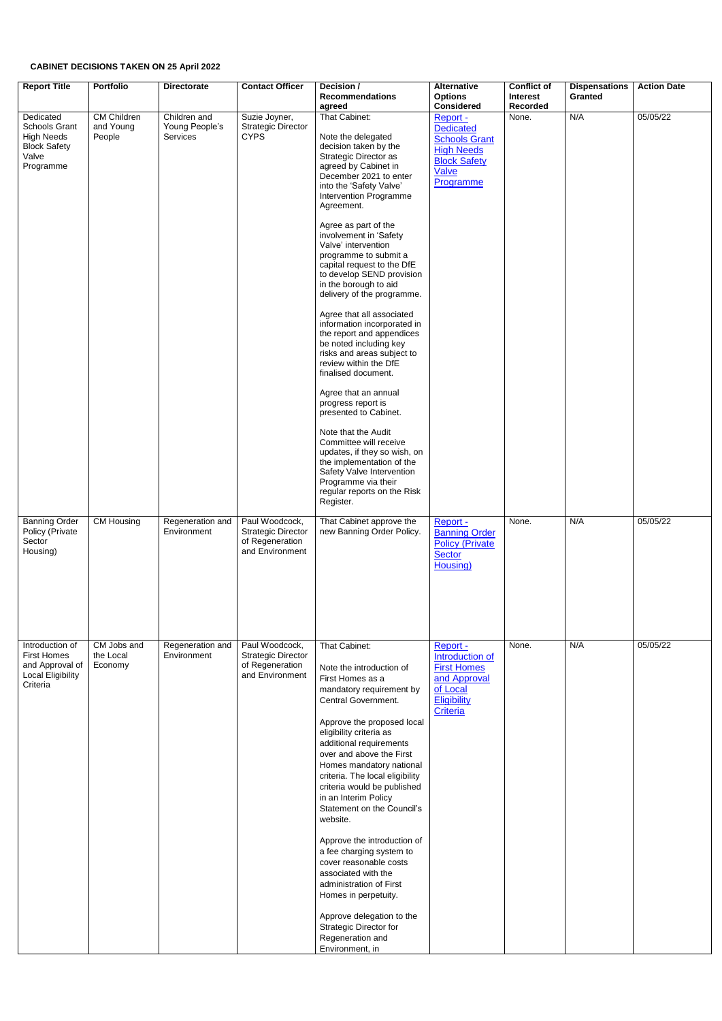## **CABINET DECISIONS TAKEN ON 25 April 2022**

| <b>Report Title</b><br>Dedicated<br><b>Schools Grant</b><br><b>High Needs</b><br><b>Block Safety</b><br>Valve<br>Programme | <b>Portfolio</b><br><b>CM Children</b><br>and Young<br>People | <b>Directorate</b><br>Children and<br>Young People's<br>Services | <b>Contact Officer</b><br>Suzie Joyner,<br><b>Strategic Director</b><br><b>CYPS</b> | Decision /<br><b>Recommendations</b><br>agreed<br>That Cabinet:<br>Note the delegated<br>decision taken by the<br>Strategic Director as<br>agreed by Cabinet in<br>December 2021 to enter<br>into the 'Safety Valve'<br>Intervention Programme<br>Agreement.<br>Agree as part of the<br>involvement in 'Safety<br>Valve' intervention<br>programme to submit a<br>capital request to the DfE<br>to develop SEND provision<br>in the borough to aid<br>delivery of the programme.<br>Agree that all associated<br>information incorporated in<br>the report and appendices<br>be noted including key<br>risks and areas subject to<br>review within the DfE<br>finalised document.<br>Agree that an annual<br>progress report is<br>presented to Cabinet.<br>Note that the Audit<br>Committee will receive<br>updates, if they so wish, on | <b>Alternative</b><br><b>Options</b><br><b>Considered</b><br>Report -<br><b>Dedicated</b><br><b>Schools Grant</b><br><b>High Needs</b><br><b>Block Safety</b><br><b>Valve</b><br>Programme | <b>Conflict of</b><br><b>Interest</b><br>Recorded<br>None. | <b>Dispensations</b><br><b>Granted</b><br>N/A | <b>Action Date</b><br>05/05/22 |
|----------------------------------------------------------------------------------------------------------------------------|---------------------------------------------------------------|------------------------------------------------------------------|-------------------------------------------------------------------------------------|-------------------------------------------------------------------------------------------------------------------------------------------------------------------------------------------------------------------------------------------------------------------------------------------------------------------------------------------------------------------------------------------------------------------------------------------------------------------------------------------------------------------------------------------------------------------------------------------------------------------------------------------------------------------------------------------------------------------------------------------------------------------------------------------------------------------------------------------|--------------------------------------------------------------------------------------------------------------------------------------------------------------------------------------------|------------------------------------------------------------|-----------------------------------------------|--------------------------------|
|                                                                                                                            |                                                               |                                                                  |                                                                                     | the implementation of the<br>Safety Valve Intervention<br>Programme via their<br>regular reports on the Risk<br>Register.                                                                                                                                                                                                                                                                                                                                                                                                                                                                                                                                                                                                                                                                                                                 |                                                                                                                                                                                            |                                                            |                                               |                                |
| <b>Banning Order</b><br>Policy (Private<br>Sector<br>Housing)                                                              | CM Housing                                                    | Regeneration and<br>Environment                                  | Paul Woodcock,<br><b>Strategic Director</b><br>of Regeneration<br>and Environment   | That Cabinet approve the<br>new Banning Order Policy.                                                                                                                                                                                                                                                                                                                                                                                                                                                                                                                                                                                                                                                                                                                                                                                     | Report -<br><b>Banning Order</b><br><b>Policy (Private</b><br><b>Sector</b><br>Housing)                                                                                                    | None.                                                      | N/A                                           | 05/05/22                       |
| Introduction of<br><b>First Homes</b><br>and Approval of<br><b>Local Eligibility</b><br>Criteria                           | CM Jobs and<br>the Local<br>Economy                           | Regeneration and<br>Environment                                  | Paul Woodcock,<br><b>Strategic Director</b><br>of Regeneration<br>and Environment   | That Cabinet:<br>Note the introduction of<br>First Homes as a<br>mandatory requirement by<br>Central Government.<br>Approve the proposed local<br>eligibility criteria as<br>additional requirements<br>over and above the First<br>Homes mandatory national<br>criteria. The local eligibility<br>criteria would be published<br>in an Interim Policy<br>Statement on the Council's<br>website.<br>Approve the introduction of<br>a fee charging system to<br>cover reasonable costs<br>associated with the<br>administration of First<br>Homes in perpetuity.<br>Approve delegation to the<br>Strategic Director for<br>Regeneration and<br>Environment, in                                                                                                                                                                             | Report -<br><b>Introduction of</b><br><b>First Homes</b><br>and Approval<br>of Local<br>Eligibility<br>Criteria                                                                            | None.                                                      | N/A                                           | 05/05/22                       |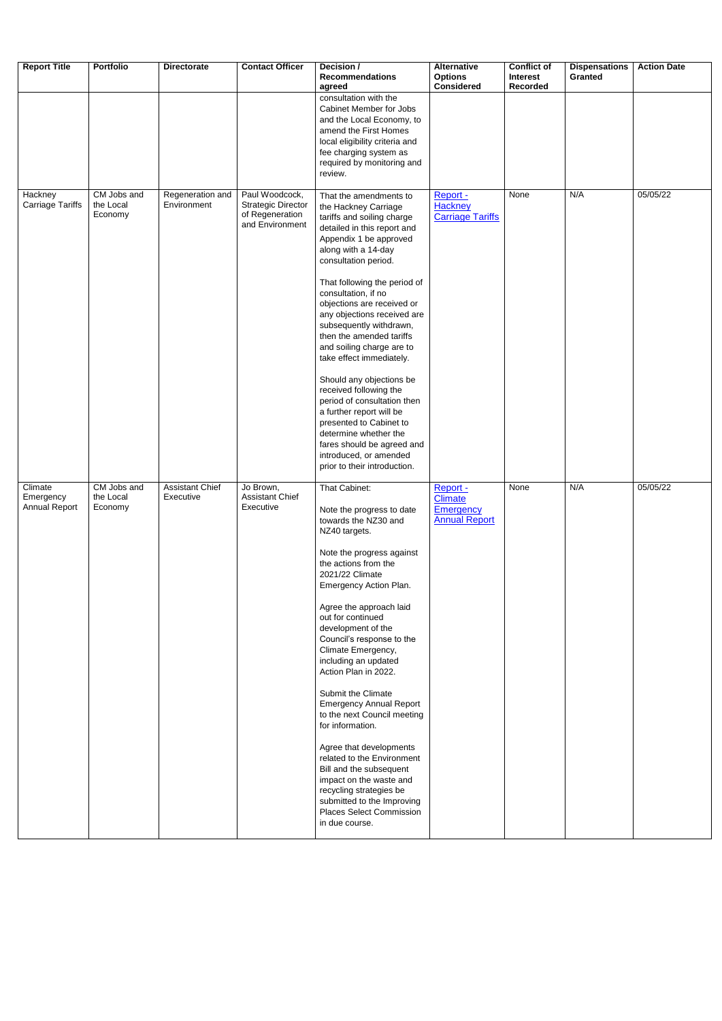| <b>Report Title</b>                   | <b>Portfolio</b>                    | <b>Directorate</b>                  | <b>Contact Officer</b>                                                            | Decision /<br><b>Recommendations</b><br>agreed                                                                                                                                                                                                                                                                                                                                                                                                                                                                                                                                                                                                                                                         | <b>Alternative</b><br><b>Options</b><br><b>Considered</b>              | <b>Conflict of</b><br><b>Interest</b><br>Recorded | <b>Dispensations</b><br><b>Granted</b> | <b>Action Date</b> |
|---------------------------------------|-------------------------------------|-------------------------------------|-----------------------------------------------------------------------------------|--------------------------------------------------------------------------------------------------------------------------------------------------------------------------------------------------------------------------------------------------------------------------------------------------------------------------------------------------------------------------------------------------------------------------------------------------------------------------------------------------------------------------------------------------------------------------------------------------------------------------------------------------------------------------------------------------------|------------------------------------------------------------------------|---------------------------------------------------|----------------------------------------|--------------------|
|                                       |                                     |                                     |                                                                                   | consultation with the<br>Cabinet Member for Jobs<br>and the Local Economy, to<br>amend the First Homes<br>local eligibility criteria and<br>fee charging system as<br>required by monitoring and<br>review.                                                                                                                                                                                                                                                                                                                                                                                                                                                                                            |                                                                        |                                                   |                                        |                    |
| Hackney<br><b>Carriage Tariffs</b>    | CM Jobs and<br>the Local<br>Economy | Regeneration and<br>Environment     | Paul Woodcock,<br><b>Strategic Director</b><br>of Regeneration<br>and Environment | That the amendments to<br>the Hackney Carriage<br>tariffs and soiling charge<br>detailed in this report and<br>Appendix 1 be approved<br>along with a 14-day<br>consultation period.<br>That following the period of<br>consultation, if no<br>objections are received or<br>any objections received are<br>subsequently withdrawn,<br>then the amended tariffs<br>and soiling charge are to<br>take effect immediately.<br>Should any objections be<br>received following the<br>period of consultation then<br>a further report will be<br>presented to Cabinet to<br>determine whether the<br>fares should be agreed and<br>introduced, or amended<br>prior to their introduction.                  | Report -<br><b>Hackney</b><br><b>Carriage Tariffs</b>                  | None                                              | N/A                                    | 05/05/22           |
| Climate<br>Emergency<br>Annual Report | CM Jobs and<br>the Local<br>Economy | <b>Assistant Chief</b><br>Executive | Jo Brown,<br><b>Assistant Chief</b><br>Executive                                  | That Cabinet:<br>Note the progress to date<br>towards the NZ30 and<br>NZ40 targets.<br>Note the progress against<br>the actions from the<br>2021/22 Climate<br>Emergency Action Plan.<br>Agree the approach laid<br>out for continued<br>development of the<br>Council's response to the<br>Climate Emergency,<br>including an updated<br>Action Plan in 2022.<br>Submit the Climate<br><b>Emergency Annual Report</b><br>to the next Council meeting<br>for information.<br>Agree that developments<br>related to the Environment<br>Bill and the subsequent<br>impact on the waste and<br>recycling strategies be<br>submitted to the Improving<br><b>Places Select Commission</b><br>in due course. | Report -<br><b>Climate</b><br><b>Emergency</b><br><b>Annual Report</b> | None                                              | N/A                                    | 05/05/22           |